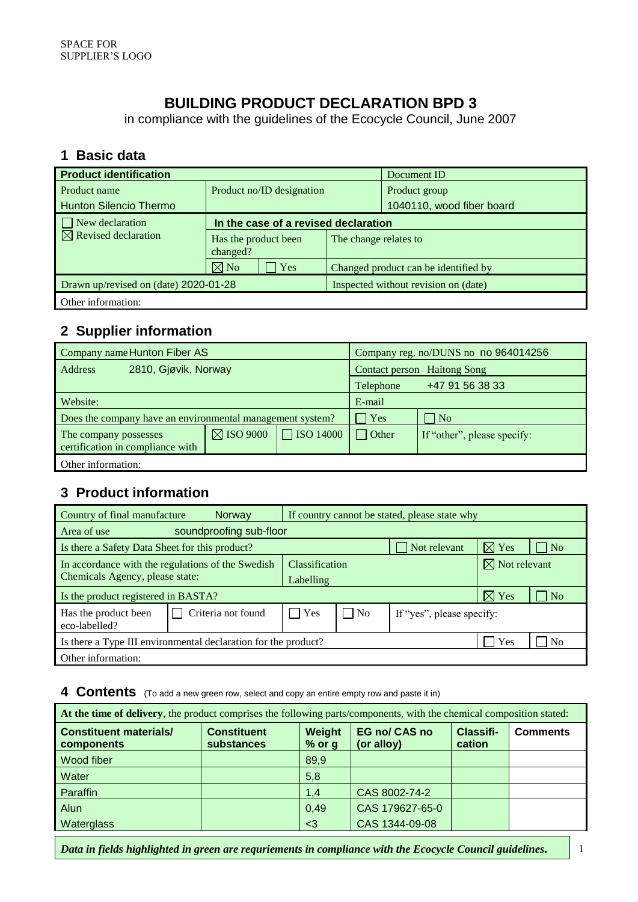# **BUILDING PRODUCT DECLARATION BPD 3**

in compliance with the guidelines of the Ecocycle Council, June 2007

#### **1 Basic data**

| <b>Product identification</b>   |                                       | Document ID           |                                      |  |
|---------------------------------|---------------------------------------|-----------------------|--------------------------------------|--|
| Product name                    | Product no/ID designation             |                       | Product group                        |  |
| <b>Hunton Silencio Thermo</b>   |                                       |                       | 1040110, wood fiber board            |  |
| $\Box$ New declaration          | In the case of a revised declaration  |                       |                                      |  |
| $\boxtimes$ Revised declaration | Has the product been<br>changed?      | The change relates to |                                      |  |
|                                 | $\boxtimes$ No<br>Yes                 |                       | Changed product can be identified by |  |
|                                 | Drawn up/revised on (date) 2020-01-28 |                       | Inspected without revision on (date) |  |
| Other information:              |                                       |                       |                                      |  |

### **2 Supplier information**

| Company name Hunton Fiber AS                              |                      | Company reg. no/DUNS no no 964014256 |                                    |                             |  |
|-----------------------------------------------------------|----------------------|--------------------------------------|------------------------------------|-----------------------------|--|
| 2810, Gjøvik, Norway<br><b>Address</b>                    |                      |                                      | <b>Contact person</b> Haitong Song |                             |  |
|                                                           |                      |                                      | Telephone                          | +47 91 56 38 33             |  |
| Website:                                                  |                      |                                      | E-mail                             |                             |  |
| Does the company have an environmental management system? |                      |                                      | Yes                                | $\overline{\rm N}$          |  |
| The company possesses<br>certification in compliance with | $\boxtimes$ ISO 9000 | <b>SO 14000</b>                      | Other                              | If "other", please specify: |  |
| Other information:                                        |                      |                                      |                                    |                             |  |

### **3 Product information**

| Country of final manufacture                                   | <b>Norway</b>      | If country cannot be stated, please state why |                |                           |                 |                |
|----------------------------------------------------------------|--------------------|-----------------------------------------------|----------------|---------------------------|-----------------|----------------|
| soundproofing sub-floor<br>Area of use                         |                    |                                               |                |                           |                 |                |
| Is there a Safety Data Sheet for this product?                 |                    |                                               |                | $\Box$ Not relevant       | $\boxtimes$ Yes | N <sub>o</sub> |
| In accordance with the regulations of the Swedish              | Classification     |                                               |                | $\boxtimes$ Not relevant  |                 |                |
| Chemicals Agency, please state:                                |                    | Labelling                                     |                |                           |                 |                |
| Is the product registered in BASTA?                            |                    |                                               |                |                           | $\boxtimes$ Yes | N <sub>o</sub> |
| Has the product been<br>eco-labelled?                          | Criteria not found | $\mathsf{l}$ $\mathsf{l}$ Yes                 | $\overline{N}$ | If "yes", please specify: |                 |                |
| Is there a Type III environmental declaration for the product? |                    |                                               |                | Yes                       | N <sub>0</sub>  |                |
| Other information:                                             |                    |                                               |                |                           |                 |                |

#### **4 Contents** (To add a new green row, select and copy an entire empty row and paste it in)

| At the time of delivery, the product comprises the following parts/components, with the chemical composition stated: |                                  |                    |                                    |                     |                 |  |
|----------------------------------------------------------------------------------------------------------------------|----------------------------------|--------------------|------------------------------------|---------------------|-----------------|--|
| <b>Constituent materials/</b><br>components                                                                          | <b>Constituent</b><br>substances | Weight<br>$%$ or g | <b>EG no/ CAS no</b><br>(or alloy) | Classifi-<br>cation | <b>Comments</b> |  |
| Wood fiber                                                                                                           |                                  | 89,9               |                                    |                     |                 |  |
| Water                                                                                                                |                                  | 5,8                |                                    |                     |                 |  |
| Paraffin                                                                                                             |                                  | 1,4                | CAS 8002-74-2                      |                     |                 |  |
| Alun                                                                                                                 |                                  | 0,49               | CAS 179627-65-0                    |                     |                 |  |
| Waterglass                                                                                                           |                                  | $3$                | CAS 1344-09-08                     |                     |                 |  |

*Data in fields highlighted in green are requriements in compliance with the Ecocycle Council guidelines.* 1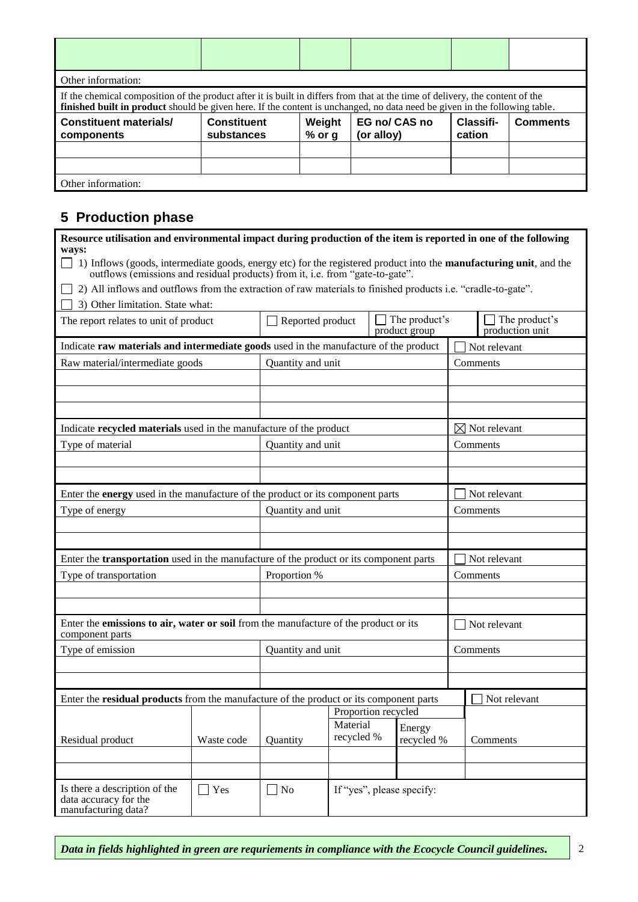| Other information:                                                                                                                                                                                                                                          |                                  |                    |                             |                     |                 |  |  |
|-------------------------------------------------------------------------------------------------------------------------------------------------------------------------------------------------------------------------------------------------------------|----------------------------------|--------------------|-----------------------------|---------------------|-----------------|--|--|
| If the chemical composition of the product after it is built in differs from that at the time of delivery, the content of the<br>finished built in product should be given here. If the content is unchanged, no data need be given in the following table. |                                  |                    |                             |                     |                 |  |  |
| <b>Constituent materials/</b><br>components                                                                                                                                                                                                                 | <b>Constituent</b><br>substances | Weight<br>$%$ or g | EG no/ CAS no<br>(or alloy) | Classifi-<br>cation | <b>Comments</b> |  |  |
|                                                                                                                                                                                                                                                             |                                  |                    |                             |                     |                 |  |  |
|                                                                                                                                                                                                                                                             |                                  |                    |                             |                     |                 |  |  |
|                                                                                                                                                                                                                                                             |                                  |                    |                             |                     |                 |  |  |

#### **5 Production phase**

| Resource utilisation and environmental impact during production of the item is reported in one of the following<br>ways:                                                                            |               |                         |                        |  |                                |          |                                         |
|-----------------------------------------------------------------------------------------------------------------------------------------------------------------------------------------------------|---------------|-------------------------|------------------------|--|--------------------------------|----------|-----------------------------------------|
| 1) Inflows (goods, intermediate goods, energy etc) for the registered product into the manufacturing unit, and the<br>outflows (emissions and residual products) from it, i.e. from "gate-to-gate". |               |                         |                        |  |                                |          |                                         |
| 2) All inflows and outflows from the extraction of raw materials to finished products i.e. "cradle-to-gate".                                                                                        |               |                         |                        |  |                                |          |                                         |
| 3) Other limitation. State what:                                                                                                                                                                    |               |                         |                        |  |                                |          |                                         |
| The report relates to unit of product                                                                                                                                                               |               | $\Box$ Reported product |                        |  | The product's<br>product group |          | $\Box$ The product's<br>production unit |
| Indicate raw materials and intermediate goods used in the manufacture of the product                                                                                                                |               |                         |                        |  |                                |          | Not relevant                            |
| Raw material/intermediate goods                                                                                                                                                                     |               | Quantity and unit       |                        |  |                                |          | Comments                                |
|                                                                                                                                                                                                     |               |                         |                        |  |                                |          |                                         |
|                                                                                                                                                                                                     |               |                         |                        |  |                                |          |                                         |
|                                                                                                                                                                                                     |               |                         |                        |  |                                |          |                                         |
| Indicate recycled materials used in the manufacture of the product                                                                                                                                  |               |                         |                        |  |                                |          | $\boxtimes$ Not relevant                |
| Type of material                                                                                                                                                                                    |               | Quantity and unit       |                        |  |                                |          | Comments                                |
|                                                                                                                                                                                                     |               |                         |                        |  |                                |          |                                         |
|                                                                                                                                                                                                     |               |                         |                        |  |                                |          |                                         |
| Enter the energy used in the manufacture of the product or its component parts                                                                                                                      |               |                         |                        |  |                                |          | Not relevant                            |
| Type of energy                                                                                                                                                                                      |               | Quantity and unit       |                        |  |                                | Comments |                                         |
|                                                                                                                                                                                                     |               |                         |                        |  |                                |          |                                         |
|                                                                                                                                                                                                     |               |                         |                        |  |                                |          |                                         |
| Enter the transportation used in the manufacture of the product or its component parts                                                                                                              |               |                         |                        |  |                                |          | Not relevant                            |
| Type of transportation                                                                                                                                                                              |               | Proportion %            |                        |  |                                |          | Comments                                |
|                                                                                                                                                                                                     |               |                         |                        |  |                                |          |                                         |
|                                                                                                                                                                                                     |               |                         |                        |  |                                |          |                                         |
| Enter the emissions to air, water or soil from the manufacture of the product or its<br>component parts                                                                                             |               |                         |                        |  |                                |          | $\exists$ Not relevant                  |
| Type of emission                                                                                                                                                                                    |               | Quantity and unit       |                        |  |                                | Comments |                                         |
|                                                                                                                                                                                                     |               |                         |                        |  |                                |          |                                         |
|                                                                                                                                                                                                     |               |                         |                        |  |                                |          |                                         |
| Enter the <b>residual products</b> from the manufacture of the product or its component parts                                                                                                       |               |                         |                        |  |                                |          | Not relevant                            |
|                                                                                                                                                                                                     |               |                         | Proportion recycled    |  |                                |          |                                         |
|                                                                                                                                                                                                     |               |                         | Material<br>recycled % |  | Energy                         |          |                                         |
| Residual product                                                                                                                                                                                    | Waste code    | Quantity                |                        |  | recycled %                     |          | Comments                                |
|                                                                                                                                                                                                     |               |                         |                        |  |                                |          |                                         |
|                                                                                                                                                                                                     |               |                         |                        |  |                                |          |                                         |
| Is there a description of the<br>data accuracy for the<br>manufacturing data?                                                                                                                       | $\exists$ Yes | $\Box$ No               |                        |  | If "yes", please specify:      |          |                                         |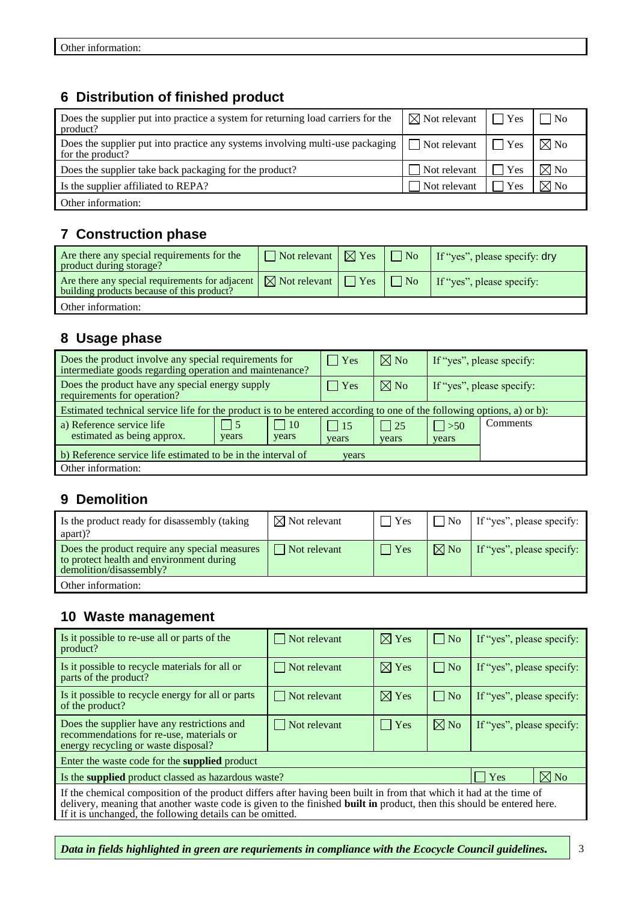### **6 Distribution of finished product**

| Does the supplier put into practice a system for returning load carriers for the<br>product?        | $\boxtimes$ Not relevant | $\Box$ Yes    | $\overline{N}$ |
|-----------------------------------------------------------------------------------------------------|--------------------------|---------------|----------------|
| Does the supplier put into practice any systems involving multi-use packaging  <br>for the product? | Not relevant $\Box$ Yes  |               | $\boxtimes$ No |
| Does the supplier take back packaging for the product?                                              | Not relevant             | $\exists$ Yes | $\boxtimes$ No |
| Is the supplier affiliated to REPA?                                                                 | Not relevant             | l Yes         | $\boxtimes$ No |
| Other information:                                                                                  |                          |               |                |

## **7 Construction phase**

| Are there any special requirements for the<br>product during storage?                                                                                    | $\Box$ Not relevant $\Box$ Yes $\Box$ No |                | If "yes", please specify: dry |
|----------------------------------------------------------------------------------------------------------------------------------------------------------|------------------------------------------|----------------|-------------------------------|
| Are there any special requirements for adjacent $\sqrt{\phantom{a}}$ Not relevant $\sqrt{\phantom{a}}$ Yes<br>building products because of this product? |                                          | $\Box \Box$ No | If "yes", please specify:     |
| Other information:                                                                                                                                       |                                          |                |                               |

## **8 Usage phase**

| Does the product involve any special requirements for<br>intermediate goods regarding operation and maintenance?       |                    |                     | $\vert$ Yes         | $\boxtimes$ No      | If "yes", please specify: |          |  |
|------------------------------------------------------------------------------------------------------------------------|--------------------|---------------------|---------------------|---------------------|---------------------------|----------|--|
| Does the product have any special energy supply<br>requirements for operation?                                         |                    |                     | $\vert$ Yes         | $\boxtimes$ No      | If "yes", please specify: |          |  |
| Estimated technical service life for the product is to be entered according to one of the following options, a) or b): |                    |                     |                     |                     |                           |          |  |
| a) Reference service life<br>estimated as being approx.                                                                | $\vert 5$<br>years | $\vert$ 10<br>years | $\vert$ 15<br>years | $\vert$ 25<br>years | $\vert > 50$<br>years     | Comments |  |
| b) Reference service life estimated to be in the interval of<br>years                                                  |                    |                     |                     |                     |                           |          |  |
| Other information:                                                                                                     |                    |                     |                     |                     |                           |          |  |

### **9 Demolition**

| Is the product ready for disassembly (taking<br>apart)?                                                              | $\boxtimes$ Not relevant | $\Box$ Yes | l No           | If "yes", please specify: |
|----------------------------------------------------------------------------------------------------------------------|--------------------------|------------|----------------|---------------------------|
| Does the product require any special measures<br>to protect health and environment during<br>demolition/disassembly? | $\vert$ Not relevant     | $\Box$ Yes | $\boxtimes$ No | If "yes", please specify: |
| Other information:                                                                                                   |                          |            |                |                           |

### **10 Waste management**

| Is it possible to re-use all or parts of the<br>product?                                                                                                                                                                                                                                                          | $\Box$ Not relevant | $\boxtimes$ Yes | $\Box$ No    | If "yes", please specify: |                |  |
|-------------------------------------------------------------------------------------------------------------------------------------------------------------------------------------------------------------------------------------------------------------------------------------------------------------------|---------------------|-----------------|--------------|---------------------------|----------------|--|
| Is it possible to recycle materials for all or<br>parts of the product?                                                                                                                                                                                                                                           | $\Box$ Not relevant | $\boxtimes$ Yes | $\Box$ No    | If "yes", please specify: |                |  |
| Is it possible to recycle energy for all or parts<br>of the product?                                                                                                                                                                                                                                              | $\Box$ Not relevant | $\boxtimes$ Yes | $\vert$   No | If "yes", please specify: |                |  |
| Does the supplier have any restrictions and<br>recommendations for re-use, materials or<br>energy recycling or waste disposal?                                                                                                                                                                                    | Not relevant        | $\Box$ Yes      | $\nabla$ No  | If "yes", please specify: |                |  |
| Enter the waste code for the <b>supplied</b> product                                                                                                                                                                                                                                                              |                     |                 |              |                           |                |  |
| Is the <b>supplied</b> product classed as hazardous waste?                                                                                                                                                                                                                                                        |                     |                 |              | $\exists$ Yes             | $\boxtimes$ No |  |
| If the chemical composition of the product differs after having been built in from that which it had at the time of<br>delivery, meaning that another waste code is given to the finished <b>built in</b> product, then this should be entered here.<br>If it is unchanged, the following details can be omitted. |                     |                 |              |                           |                |  |

*Data in fields highlighted in green are requriements in compliance with the Ecocycle Council guidelines.*  $\vert$  3